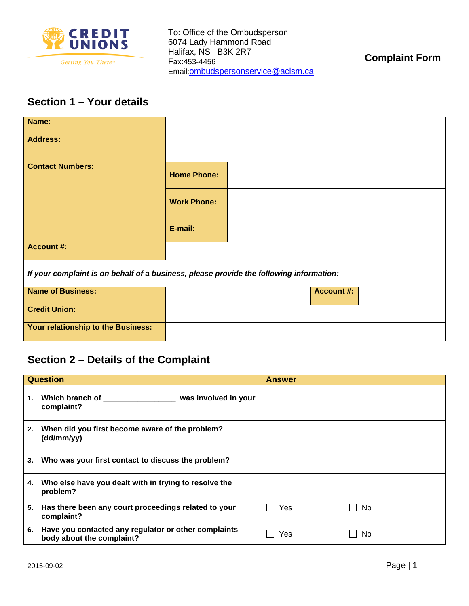

## **Section 1 – Your details**

| Name:                                                                                   |                    |  |  |  |  |  |
|-----------------------------------------------------------------------------------------|--------------------|--|--|--|--|--|
| <b>Address:</b>                                                                         |                    |  |  |  |  |  |
| <b>Contact Numbers:</b>                                                                 | <b>Home Phone:</b> |  |  |  |  |  |
|                                                                                         | <b>Work Phone:</b> |  |  |  |  |  |
|                                                                                         | E-mail:            |  |  |  |  |  |
| <b>Account #:</b>                                                                       |                    |  |  |  |  |  |
| If your complaint is on behalf of a business, please provide the following information: |                    |  |  |  |  |  |
| <b>Name of Business:</b>                                                                | <b>Account #:</b>  |  |  |  |  |  |
| <b>Credit Union:</b>                                                                    |                    |  |  |  |  |  |
| Your relationship to the Business:                                                      |                    |  |  |  |  |  |

## **Section 2 – Details of the Complaint**

| <b>Question</b> |                                                                                   | <b>Answer</b> |  |
|-----------------|-----------------------------------------------------------------------------------|---------------|--|
| 1.              | complaint?                                                                        |               |  |
| 2.              | When did you first become aware of the problem?<br>(dd/mm/yy)                     |               |  |
| 3.              | Who was your first contact to discuss the problem?                                |               |  |
| 4.              | Who else have you dealt with in trying to resolve the<br>problem?                 |               |  |
| 5.              | Has there been any court proceedings related to your<br>complaint?                | Yes<br>No     |  |
| 6.              | Have you contacted any regulator or other complaints<br>body about the complaint? | Yes<br>No.    |  |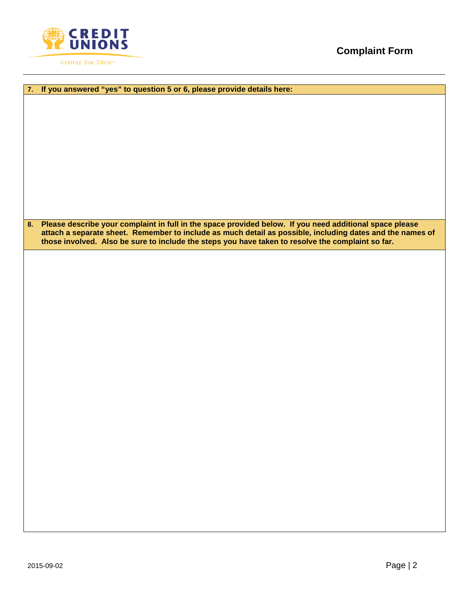

| If you answered "yes" to question 5 or 6, please provide details here:<br>7.                               |  |  |  |  |
|------------------------------------------------------------------------------------------------------------|--|--|--|--|
|                                                                                                            |  |  |  |  |
|                                                                                                            |  |  |  |  |
|                                                                                                            |  |  |  |  |
|                                                                                                            |  |  |  |  |
|                                                                                                            |  |  |  |  |
|                                                                                                            |  |  |  |  |
|                                                                                                            |  |  |  |  |
|                                                                                                            |  |  |  |  |
|                                                                                                            |  |  |  |  |
|                                                                                                            |  |  |  |  |
|                                                                                                            |  |  |  |  |
|                                                                                                            |  |  |  |  |
|                                                                                                            |  |  |  |  |
| 8. Please describe your complaint in full in the space provided below. If you need additional space please |  |  |  |  |
| attach a separate sheet. Remember to include as much detail as possible, including dates and the names of  |  |  |  |  |
| those involved. Also be sure to include the steps you have taken to resolve the complaint so far.          |  |  |  |  |
|                                                                                                            |  |  |  |  |
|                                                                                                            |  |  |  |  |
|                                                                                                            |  |  |  |  |
|                                                                                                            |  |  |  |  |
|                                                                                                            |  |  |  |  |
|                                                                                                            |  |  |  |  |
|                                                                                                            |  |  |  |  |
|                                                                                                            |  |  |  |  |
|                                                                                                            |  |  |  |  |
|                                                                                                            |  |  |  |  |
|                                                                                                            |  |  |  |  |
|                                                                                                            |  |  |  |  |
|                                                                                                            |  |  |  |  |
|                                                                                                            |  |  |  |  |
|                                                                                                            |  |  |  |  |
|                                                                                                            |  |  |  |  |
|                                                                                                            |  |  |  |  |
|                                                                                                            |  |  |  |  |
|                                                                                                            |  |  |  |  |
|                                                                                                            |  |  |  |  |
|                                                                                                            |  |  |  |  |
|                                                                                                            |  |  |  |  |
|                                                                                                            |  |  |  |  |
|                                                                                                            |  |  |  |  |
|                                                                                                            |  |  |  |  |
|                                                                                                            |  |  |  |  |
|                                                                                                            |  |  |  |  |
|                                                                                                            |  |  |  |  |
|                                                                                                            |  |  |  |  |
|                                                                                                            |  |  |  |  |